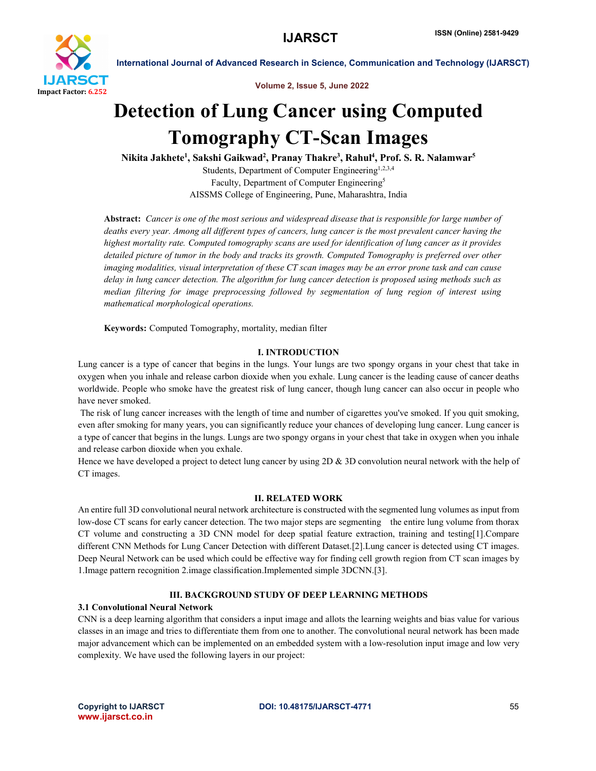

Volume 2, Issue 5, June 2022

# Detection of Lung Cancer using Computed Tomography CT-Scan Images

Nikita Jakhete<sup>1</sup>, Sakshi Gaikwad<sup>2</sup>, Pranay Thakre<sup>3</sup>, Rahul<sup>4</sup>, Prof. S. R. Nalamwar<sup>5</sup> Students, Department of Computer Engineering<sup>1,2,3,4</sup> Faculty, Department of Computer Engineering5 AISSMS College of Engineering, Pune, Maharashtra, India

 Abstract: *Cancer is one of the most serious and widespread disease that is responsible for large number of deaths every year. Among all different types of cancers, lung cancer is the most prevalent cancer having the highest mortality rate. Computed tomography scans are used for identification of lung cancer as it provides detailed picture of tumor in the body and tracks its growth. Computed Tomography is preferred over other imaging modalities, visual interpretation of these CT scan images may be an error prone task and can cause delay in lung cancer detection. The algorithm for lung cancer detection is proposed using methods such as median filtering for image preprocessing followed by segmentation of lung region of interest using mathematical morphological operations.*

Keywords: Computed Tomography, mortality, median filter

### I. INTRODUCTION

Lung cancer is a type of cancer that begins in the lungs. Your lungs are two spongy organs in your chest that take in oxygen when you inhale and release carbon dioxide when you exhale. Lung cancer is the leading cause of cancer deaths worldwide. People who smoke have the greatest risk of lung cancer, though lung cancer can also occur in people who have never smoked.

The risk of lung cancer increases with the length of time and number of cigarettes you've smoked. If you quit smoking, even after smoking for many years, you can significantly reduce your chances of developing lung cancer. Lung cancer is a type of cancer that begins in the lungs. Lungs are two spongy organs in your chest that take in oxygen when you inhale and release carbon dioxide when you exhale.

Hence we have developed a project to detect lung cancer by using 2D & 3D convolution neural network with the help of CT images.

### II. RELATED WORK

An entire full 3D convolutional neural network architecture is constructed with the segmented lung volumes as input from low-dose CT scans for early cancer detection. The two major steps are segmenting the entire lung volume from thorax CT volume and constructing a 3D CNN model for deep spatial feature extraction, training and testing[1].Compare different CNN Methods for Lung Cancer Detection with different Dataset.[2].Lung cancer is detected using CT images. Deep Neural Network can be used which could be effective way for finding cell growth region from CT scan images by 1.Image pattern recognition 2.image classification.Implemented simple 3DCNN.[3].

### III. BACKGROUND STUDY OF DEEP LEARNING METHODS

### 3.1 Convolutional Neural Network

CNN is a deep learning algorithm that considers a input image and allots the learning weights and bias value for various classes in an image and tries to differentiate them from one to another. The convolutional neural network has been made major advancement which can be implemented on an embedded system with a low-resolution input image and low very complexity. We have used the following layers in our project: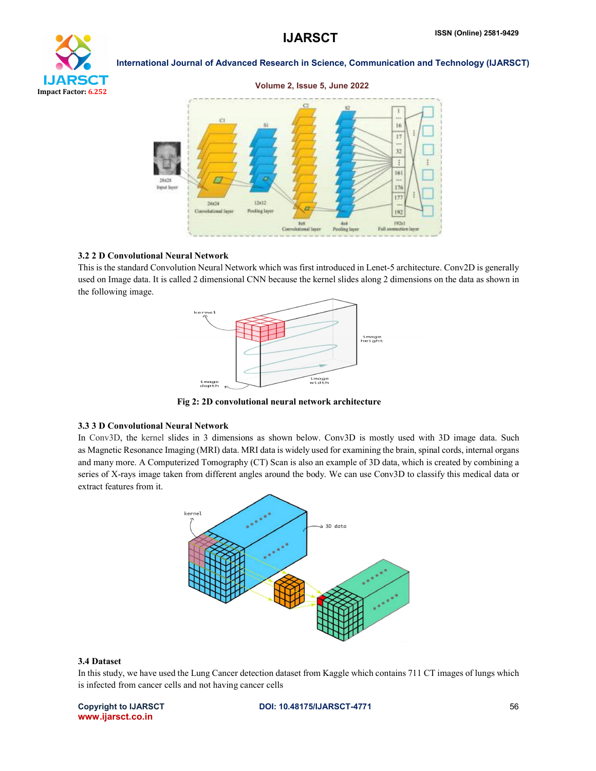

### Volume 2, Issue 5, June 2022



### 3.2 2 D Convolutional Neural Network

This is the standard Convolution Neural Network which was first introduced in Lenet-5 architecture. Conv2D is generally used on Image data. It is called 2 dimensional CNN because the kernel slides along 2 dimensions on the data as shown in the following image.



Fig 2: 2D convolutional neural network architecture

### 3.3 3 D Convolutional Neural Network

In Conv3D, the kernel slides in 3 dimensions as shown below. Conv3D is mostly used with 3D image data. Such as Magnetic Resonance Imaging (MRI) data. MRI data is widely used for examining the brain, spinal cords, internal organs and many more. A Computerized Tomography (CT) Scan is also an example of 3D data, which is created by combining a series of X-rays image taken from different angles around the body. We can use Conv3D to classify this medical data or extract features from it.



### 3.4 Dataset

In this study, we have used the Lung Cancer detection dataset from Kaggle which contains 711 CT images of lungs which is infected from cancer cells and not having cancer cells

www.ijarsct.co.in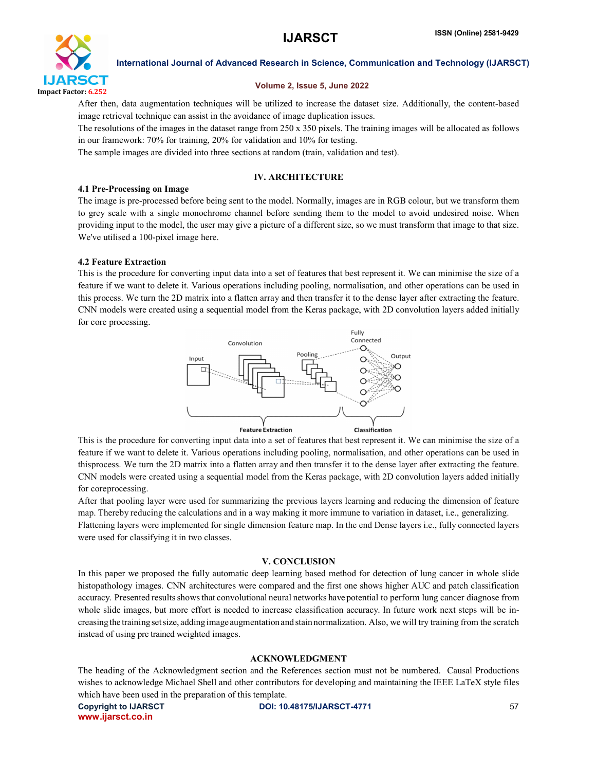

### Volume 2, Issue 5, June 2022

After then, data augmentation techniques will be utilized to increase the dataset size. Additionally, the content-based image retrieval technique can assist in the avoidance of image duplication issues.

The resolutions of the images in the dataset range from 250 x 350 pixels. The training images will be allocated as follows in our framework: 70% for training, 20% for validation and 10% for testing.

The sample images are divided into three sections at random (train, validation and test).

### IV. ARCHITECTURE

### 4.1 Pre-Processing on Image

The image is pre-processed before being sent to the model. Normally, images are in RGB colour, but we transform them to grey scale with a single monochrome channel before sending them to the model to avoid undesired noise. When providing input to the model, the user may give a picture of a different size, so we must transform that image to that size. We've utilised a 100-pixel image here.

### 4.2 Feature Extraction

This is the procedure for converting input data into a set of features that best represent it. We can minimise the size of a feature if we want to delete it. Various operations including pooling, normalisation, and other operations can be used in this process. We turn the 2D matrix into a flatten array and then transfer it to the dense layer after extracting the feature. CNN models were created using a sequential model from the Keras package, with 2D convolution layers added initially for core processing.



This is the procedure for converting input data into a set of features that best represent it. We can minimise the size of a feature if we want to delete it. Various operations including pooling, normalisation, and other operations can be used in thisprocess. We turn the 2D matrix into a flatten array and then transfer it to the dense layer after extracting the feature. CNN models were created using a sequential model from the Keras package, with 2D convolution layers added initially for coreprocessing.

After that pooling layer were used for summarizing the previous layers learning and reducing the dimension of feature map. Thereby reducing the calculations and in a way making it more immune to variation in dataset, i.e., generalizing. Flattening layers were implemented for single dimension feature map. In the end Dense layers i.e., fully connected layers were used for classifying it in two classes.

### V. CONCLUSION

In this paper we proposed the fully automatic deep learning based method for detection of lung cancer in whole slide histopathology images. CNN architectures were compared and the first one shows higher AUC and patch classification accuracy. Presented resultsshowsthat convolutional neural networks have potential to perform lung cancer diagnose from whole slide images, but more effort is needed to increase classification accuracy. In future work next steps will be increasingthe trainingsetsize, addingimage augmentationand stainnormalization. Also, we will try training from the scratch instead of using pre trained weighted images.

### ACKNOWLEDGMENT

The heading of the Acknowledgment section and the References section must not be numbered. Causal Productions wishes to acknowledge Michael Shell and other contributors for developing and maintaining the IEEE LaTeX style files which have been used in the preparation of this template.

www.ijarsct.co.in